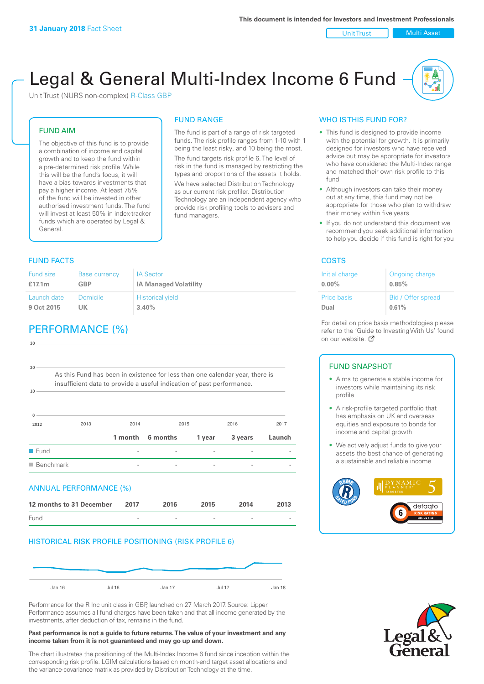Unit Trust | Multi Asset

# Legal & General Multi-Index Income 6 Fund

The fund is part of a range of risk targeted funds. The risk profile ranges from 1-10 with 1 being the least risky, and 10 being the most. The fund targets risk profile 6. The level of risk in the fund is managed by restricting the types and proportions of the assets it holds. We have selected Distribution Technology as our current risk profiler. Distribution Technology are an independent agency who provide risk profiling tools to advisers and

FUND RANGE

fund managers.

Unit Trust (NURS non-complex) R-Class GBP

#### FUND AIM

The objective of this fund is to provide a combination of income and capital growth and to keep the fund within a pre-determined risk profile. While this will be the fund's focus, it will have a bias towards investments that pay a higher income. At least 75% of the fund will be invested in other authorised investment funds. The fund will invest at least 50% in index-tracker funds which are operated by Legal & General.

### FUND FACTS **COSTS**

#### Fund size **£17.1m** Base currency **GBP** IA Sector **IA Managed Volatility** Launch date **9 Oct 2015** Domicile **UK** Historical yield **3.40%**

## PERFORMANCE (%)

| 30                       |                                                                                                                                                       |         |          |        |         |        |
|--------------------------|-------------------------------------------------------------------------------------------------------------------------------------------------------|---------|----------|--------|---------|--------|
|                          |                                                                                                                                                       |         |          |        |         |        |
| 20<br>$10 -$             | As this Fund has been in existence for less than one calendar year, there is<br>insufficient data to provide a useful indication of past performance. |         |          |        |         |        |
| $\Omega$<br>2012         | 2013                                                                                                                                                  | 2014    |          | 2015   | 2016    | 2017   |
|                          |                                                                                                                                                       | 1 month | 6 months | 1 year | 3 years | Launch |
| $\blacksquare$ Fund      |                                                                                                                                                       |         |          |        |         |        |
| $\blacksquare$ Benchmark |                                                                                                                                                       |         |          |        |         |        |
|                          | ANNUAL PERFORMANCE (%)                                                                                                                                |         |          |        |         |        |
|                          | 12 months to 31 December                                                                                                                              | 2017    | 2016     | 2015   | 2014    | 2013   |
| Fund                     |                                                                                                                                                       |         |          |        |         |        |

#### HISTORICAL RISK PROFILE POSITIONING (RISK PROFILE 6)



Performance for the R Inc unit class in GBP, launched on 27 March 2017. Source: Lipper. Performance assumes all fund charges have been taken and that all income generated by the investments, after deduction of tax, remains in the fund.

#### **Past performance is not a guide to future returns. The value of your investment and any income taken from it is not guaranteed and may go up and down.**

The chart illustrates the positioning of the Multi-Index Income 6 fund since inception within the corresponding risk profile. LGIM calculations based on month-end target asset allocations and the variance-covariance matrix as provided by Distribution Technology at the time.

### WHO IS THIS FUND FOR?

- This fund is designed to provide income with the potential for growth. It is primarily designed for investors who have received advice but may be appropriate for investors who have considered the Multi-Index range and matched their own risk profile to this fund
- Although investors can take their money out at any time, this fund may not be appropriate for those who plan to withdraw their money within five years
- If you do not understand this document we recommend you seek additional information to help you decide if this fund is right for you

| Initial charge | Ongoing charge     |
|----------------|--------------------|
| $0.00\%$       | 0.85%              |
| Price basis    | Bid / Offer spread |
| Dual           | 0.61%              |

For detail on price basis methodologies please refer to the 'Gu[ide t](http://www.legalandgeneral.com/guide)o Investing With Us' found on our website. Ø

#### FUND SNAPSHOT

- Aims to generate a stable income for investors while maintaining its risk profile
- A risk-profile targeted portfolio that has emphasis on UK and overseas equities and exposure to bonds for income and capital growth
- We actively adjust funds to give your assets the best chance of generating a sustainable and reliable income



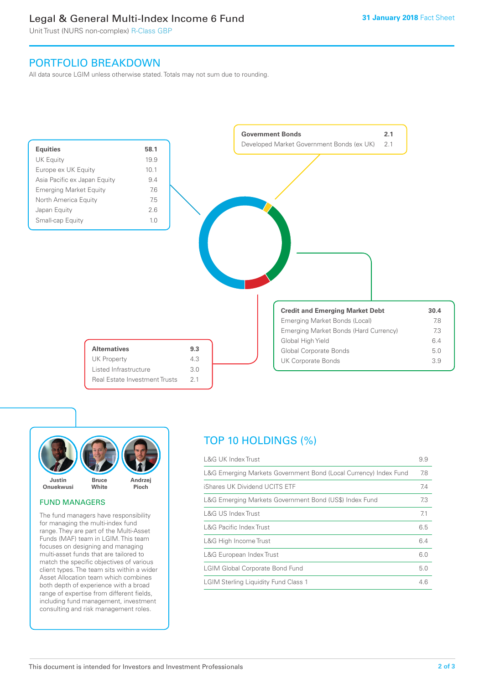### Legal & General Multi-Index Income 6 Fund

Unit Trust (NURS non-complex) R-Class GBP

### PORTFOLIO BREAKDOWN

All data source LGIM unless otherwise stated. Totals may not sum due to rounding.





#### FUND MANAGERS

The fund managers have responsibility for managing the multi-index fund range. They are part of the Multi-Asset Funds (MAF) team in LGIM. This team focuses on designing and managing multi-asset funds that are tailored to match the specific objectives of various client types. The team sits within a wider Asset Allocation team which combines both depth of experience with a broad range of expertise from different fields, including fund management, investment consulting and risk management roles.

## TOP 10 HOLDINGS (%)

| <b>L&amp;G UK Index Trust</b>                                    | 9.9 |
|------------------------------------------------------------------|-----|
| L&G Emerging Markets Government Bond (Local Currency) Index Fund | 7.8 |
| iShares UK Dividend UCITS ETF                                    | 7.4 |
| L&G Emerging Markets Government Bond (US\$) Index Fund           | 7.3 |
| L&G US Index Trust                                               | 7.1 |
| <b>L&amp;G Pacific Index Trust</b>                               | 6.5 |
| L&G High Income Trust                                            | 6.4 |
| L&G European Index Trust                                         | 6.0 |
| <b>LGIM Global Corporate Bond Fund</b>                           | 5.0 |
| <b>LGIM Sterling Liquidity Fund Class 1</b>                      | 4.6 |